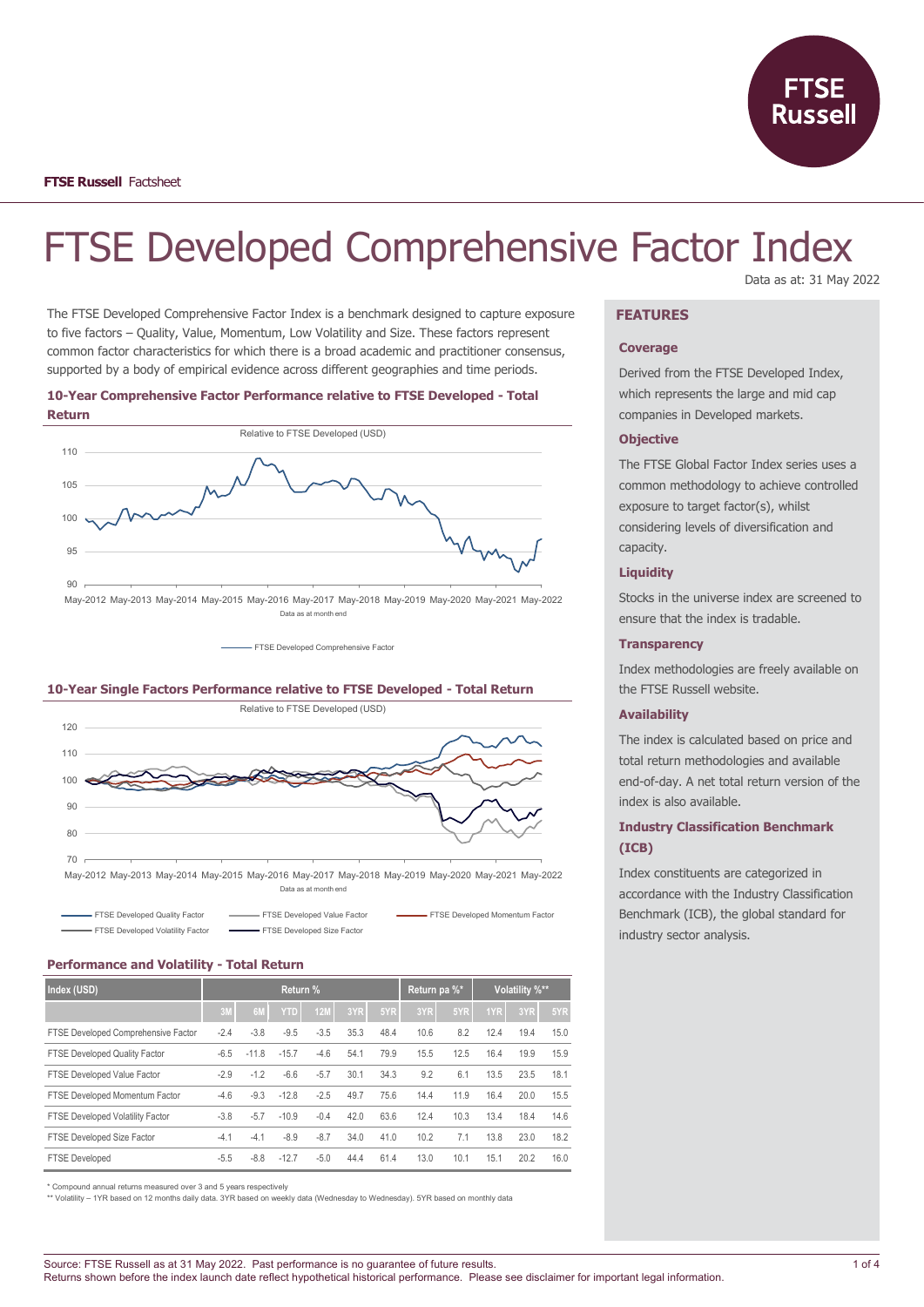

# FTSE Developed Comprehensive Factor Index Data as at: 31 May 2022

The FTSE Developed Comprehensive Factor Index is a benchmark designed to capture exposure to five factors – Quality, Value, Momentum, Low Volatility and Size. These factors represent common factor characteristics for which there is a broad academic and practitioner consensus, supported by a body of empirical evidence across different geographies and time periods.

### **10-Year Comprehensive Factor Performance relative to FTSE Developed - Total Return**



**- FTSE Developed Comprehensive Factor** 





Data as at month en

| <b>EXAMPLE TERSE Developed Quality Factor</b>                  | - FTSE Developed Value Factor | <b>EXAMPLE TERSE Developed Momentum Factor</b> |
|----------------------------------------------------------------|-------------------------------|------------------------------------------------|
| <b>EXAMPLE SEX EXAMPLE SEX FEE</b> Developed Volatility Factor | FTSE Developed Size Factor    |                                                |

# **Performance and Volatility - Total Return**

| Index (USD)                          | Return % |         |            |            | Return pa %* |      | Volatility %** |      |      |      |      |
|--------------------------------------|----------|---------|------------|------------|--------------|------|----------------|------|------|------|------|
|                                      | 3M       | 6M      | <b>YTD</b> | <b>12M</b> | 3YR          | 5YR  | 3YR            | 5YR  | 1YR  | 3YR  | 5YR  |
| FTSE Developed Comprehensive Factor  | $-2.4$   | $-3.8$  | $-9.5$     | $-3.5$     | 35.3         | 48.4 | 10.6           | 8.2  | 12.4 | 19.4 | 15.0 |
| <b>FTSE Developed Quality Factor</b> | $-6.5$   | $-11.8$ | $-15.7$    | $-4.6$     | 54.1         | 79.9 | 15.5           | 12.5 | 16.4 | 19.9 | 15.9 |
| FTSE Developed Value Factor          | $-2.9$   | $-1.2$  | $-6.6$     | $-5.7$     | 30.1         | 34.3 | 9.2            | 6.1  | 13.5 | 23.5 | 18.1 |
| FTSE Developed Momentum Factor       | $-4.6$   | $-9.3$  | $-12.8$    | $-2.5$     | 49.7         | 75.6 | 14.4           | 11.9 | 16.4 | 20.0 | 15.5 |
| FTSE Developed Volatility Factor     | $-3.8$   | $-5.7$  | $-10.9$    | $-0.4$     | 42.0         | 63.6 | 12.4           | 10.3 | 13.4 | 18.4 | 14.6 |
| FTSE Developed Size Factor           | $-4.1$   | $-4.1$  | $-8.9$     | $-8.7$     | 34.0         | 41.0 | 10.2           | 7.1  | 13.8 | 23.0 | 18.2 |
| <b>FTSE Developed</b>                | $-5.5$   | $-8.8$  | $-12.7$    | $-5.0$     | 44.4         | 61.4 | 13.0           | 10.1 | 15.1 | 20.2 | 16.0 |

\* Compound annual returns measured over 3 and 5 years respectively

\*\* Volatility – 1YR based on 12 months daily data. 3YR based on weekly data (Wednesday to Wednesday). 5YR based on monthly data

# **FEATURES**

### **Coverage**

Derived from the FTSE Developed Index, which represents the large and mid cap companies in Developed markets.

### **Objective**

The FTSE Global Factor Index series uses a common methodology to achieve controlled exposure to target factor(s), whilst considering levels of diversification and capacity.

### **Liquidity**

Stocks in the universe index are screened to ensure that the index is tradable.

#### **Transparency**

Index methodologies are freely available on the FTSE Russell website.

### **Availability**

The index is calculated based on price and total return methodologies and available end-of-day. A net total return version of the index is also available.

# **Industry Classification Benchmark (ICB)**

Index constituents are categorized in accordance with the Industry Classification Benchmark (ICB), the global standard for industry sector analysis.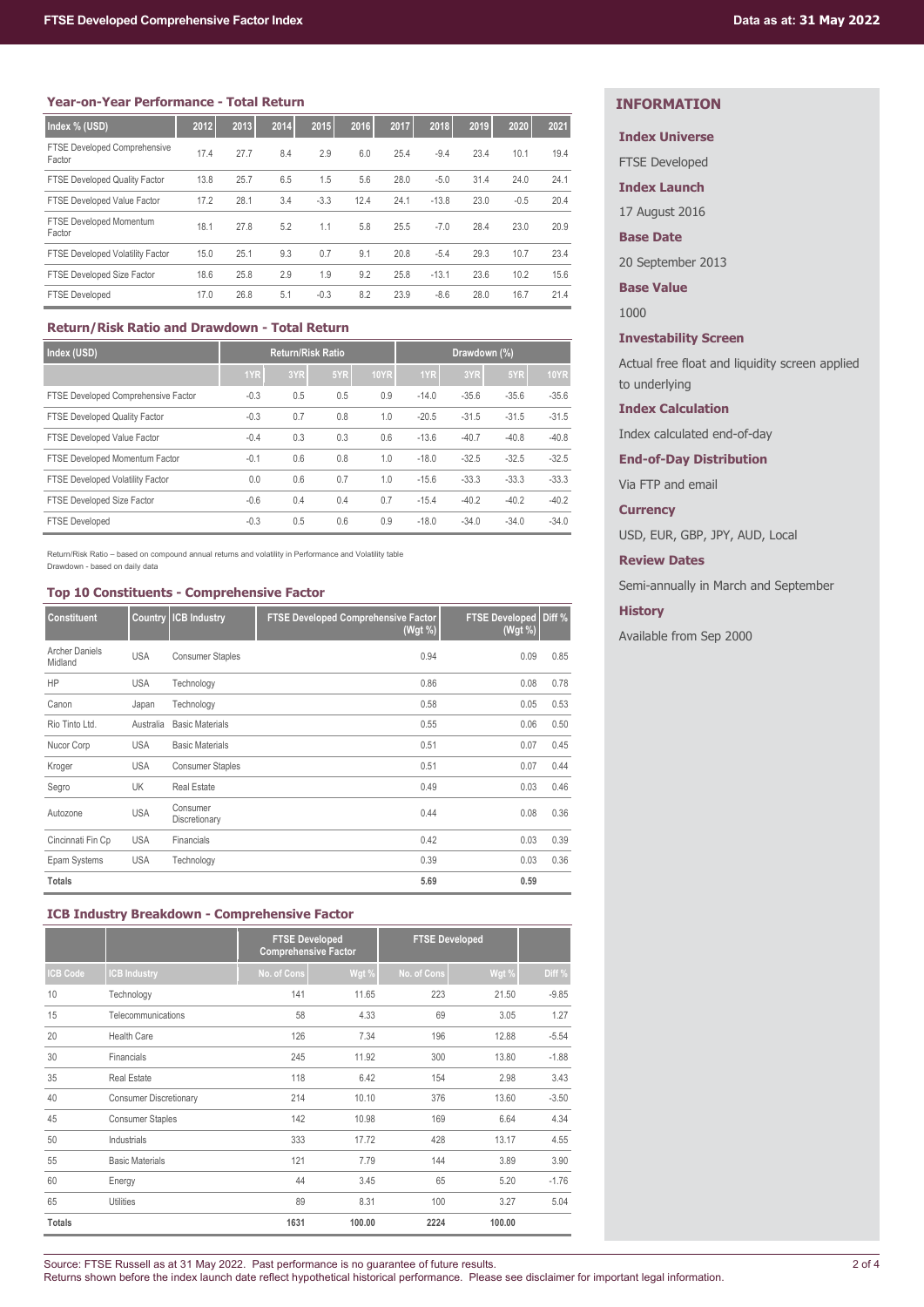| Index % (USD)                                 | 2012 | 2013 | 2014 | 2015   | 2016 | 2017 | 2018    | 2019 | 2020   | 2021 |
|-----------------------------------------------|------|------|------|--------|------|------|---------|------|--------|------|
| <b>FTSE Developed Comprehensive</b><br>Factor | 17.4 | 27.7 | 8.4  | 2.9    | 6.0  | 25.4 | $-9.4$  | 23.4 | 10.1   | 19.4 |
| <b>FTSE Developed Quality Factor</b>          | 13.8 | 25.7 | 6.5  | 1.5    | 5.6  | 28.0 | $-5.0$  | 31.4 | 24.0   | 24.1 |
| FTSE Developed Value Factor                   | 17.2 | 28.1 | 3.4  | $-3.3$ | 12.4 | 24.1 | $-13.8$ | 23.0 | $-0.5$ | 20.4 |
| FTSE Developed Momentum<br>Factor             | 18.1 | 27.8 | 5.2  | 1.1    | 5.8  | 25.5 | $-7.0$  | 28.4 | 23.0   | 20.9 |
| <b>FTSE Developed Volatility Factor</b>       | 15.0 | 25.1 | 9.3  | 0.7    | 9.1  | 20.8 | $-5.4$  | 29.3 | 10.7   | 23.4 |
| FTSE Developed Size Factor                    | 18.6 | 25.8 | 2.9  | 1.9    | 9.2  | 25.8 | $-13.1$ | 23.6 | 10.2   | 15.6 |
| <b>FTSE Developed</b>                         | 17.0 | 26.8 | 5.1  | $-0.3$ | 8.2  | 23.9 | $-8.6$  | 28.0 | 16.7   | 21.4 |

# **Return/Risk Ratio and Drawdown - Total Return**

| Index (USD)                             | <b>Return/Risk Ratio</b> |     |     | Drawdown (%) |         |         |         |             |
|-----------------------------------------|--------------------------|-----|-----|--------------|---------|---------|---------|-------------|
|                                         | 1YR                      | 3YR | 5YR | <b>10YR</b>  | 1YR     | 3YR     | 5YR     | <b>10YR</b> |
| FTSE Developed Comprehensive Factor     | $-0.3$                   | 0.5 | 0.5 | 0.9          | $-14.0$ | $-35.6$ | $-35.6$ | $-35.6$     |
| FTSE Developed Quality Factor           | $-0.3$                   | 0.7 | 0.8 | 1.0          | $-20.5$ | $-31.5$ | $-31.5$ | $-31.5$     |
| FTSE Developed Value Factor             | $-0.4$                   | 0.3 | 0.3 | 0.6          | $-13.6$ | $-40.7$ | $-40.8$ | $-40.8$     |
| FTSE Developed Momentum Factor          | $-0.1$                   | 0.6 | 0.8 | 1.0          | $-18.0$ | $-32.5$ | $-32.5$ | $-32.5$     |
| <b>FTSE Developed Volatility Factor</b> | 0.0                      | 0.6 | 0.7 | 1.0          | $-15.6$ | $-33.3$ | $-33.3$ | $-33.3$     |
| FTSE Developed Size Factor              | $-0.6$                   | 0.4 | 0.4 | 0.7          | $-15.4$ | $-40.2$ | $-40.2$ | $-40.2$     |
| <b>FTSE Developed</b>                   | $-0.3$                   | 0.5 | 0.6 | 0.9          | $-18.0$ | $-34.0$ | $-34.0$ | $-34.0$     |

Return/Risk Ratio – based on compound annual returns and volatility in Performance and Volatility table Drawdown - based on daily data

### **Top 10 Constituents - Comprehensive Factor**

| <b>Constituent</b>               | <b>Country</b> | <b>ICB Industry</b>       | <b>FTSE Developed Comprehensive Factor</b><br>(Wgt %) | <b>FTSE Developed Diff %</b><br>(Wgt %) |      |
|----------------------------------|----------------|---------------------------|-------------------------------------------------------|-----------------------------------------|------|
| <b>Archer Daniels</b><br>Midland | <b>USA</b>     | <b>Consumer Staples</b>   | 0.94                                                  | 0.09                                    | 0.85 |
| HP                               | <b>USA</b>     | Technology                | 0.86                                                  | 0.08                                    | 0.78 |
| Canon                            | Japan          | Technology                | 0.58                                                  | 0.05                                    | 0.53 |
| Rio Tinto Ltd.                   | Australia      | <b>Basic Materials</b>    | 0.55                                                  | 0.06                                    | 0.50 |
| Nucor Corp                       | <b>USA</b>     | <b>Basic Materials</b>    | 0.51                                                  | 0.07                                    | 0.45 |
| Kroger                           | <b>USA</b>     | <b>Consumer Staples</b>   | 0.51                                                  | 0.07                                    | 0.44 |
| Segro                            | UK             | <b>Real Estate</b>        | 0.49                                                  | 0.03                                    | 0.46 |
| Autozone                         | <b>USA</b>     | Consumer<br>Discretionary | 0.44                                                  | 0.08                                    | 0.36 |
| Cincinnati Fin Cp                | <b>USA</b>     | Financials                | 0.42                                                  | 0.03                                    | 0.39 |
| Epam Systems                     | <b>USA</b>     | Technology                | 0.39                                                  | 0.03                                    | 0.36 |
| <b>Totals</b>                    |                |                           | 5.69                                                  | 0.59                                    |      |

# **ICB Industry Breakdown - Comprehensive Factor**

|                 |                               | <b>FTSE Developed</b><br><b>Comprehensive Factor</b> |        | <b>FTSE Developed</b> |        |         |
|-----------------|-------------------------------|------------------------------------------------------|--------|-----------------------|--------|---------|
| <b>ICB Code</b> | <b>CB Industry</b>            | No. of Cons                                          | Wgt %  | No. of Cons           | Wgt %  | Diff %  |
| 10              | Technology                    | 141                                                  | 11.65  | 223                   | 21.50  | $-9.85$ |
| 15              | Telecommunications            | 58                                                   | 4.33   | 69                    | 3.05   | 1.27    |
| 20              | <b>Health Care</b>            | 126                                                  | 7.34   | 196                   | 12.88  | $-5.54$ |
| 30              | Financials                    | 245                                                  | 11.92  | 300                   | 13.80  | $-1.88$ |
| 35              | <b>Real Estate</b>            | 118                                                  | 6.42   | 154                   | 2.98   | 3.43    |
| 40              | <b>Consumer Discretionary</b> | 214                                                  | 10.10  | 376                   | 13.60  | $-3.50$ |
| 45              | <b>Consumer Staples</b>       | 142                                                  | 10.98  | 169                   | 6.64   | 4.34    |
| 50              | Industrials                   | 333                                                  | 17.72  | 428                   | 13.17  | 4.55    |
| 55              | <b>Basic Materials</b>        | 121                                                  | 7.79   | 144                   | 3.89   | 3.90    |
| 60              | Energy                        | 44                                                   | 3.45   | 65                    | 5.20   | $-1.76$ |
| 65              | <b>Utilities</b>              | 89                                                   | 8.31   | 100                   | 3.27   | 5.04    |
| <b>Totals</b>   |                               | 1631                                                 | 100.00 | 2224                  | 100.00 |         |

# **INFORMATION**

# **Index Universe**

FTSE Developed

**Index Launch**

17 August 2016

**Base Date**

20 September 2013

**Base Value**

1000

# **Investability Screen**

Actual free float and liquidity screen applied to underlying

### **Index Calculation**

Index calculated end-of-day

**End-of-Day Distribution**

Via FTP and email

# **Currency**

USD, EUR, GBP, JPY, AUD, Local

# **Review Dates**

Semi-annually in March and September

# **History**

Available from Sep 2000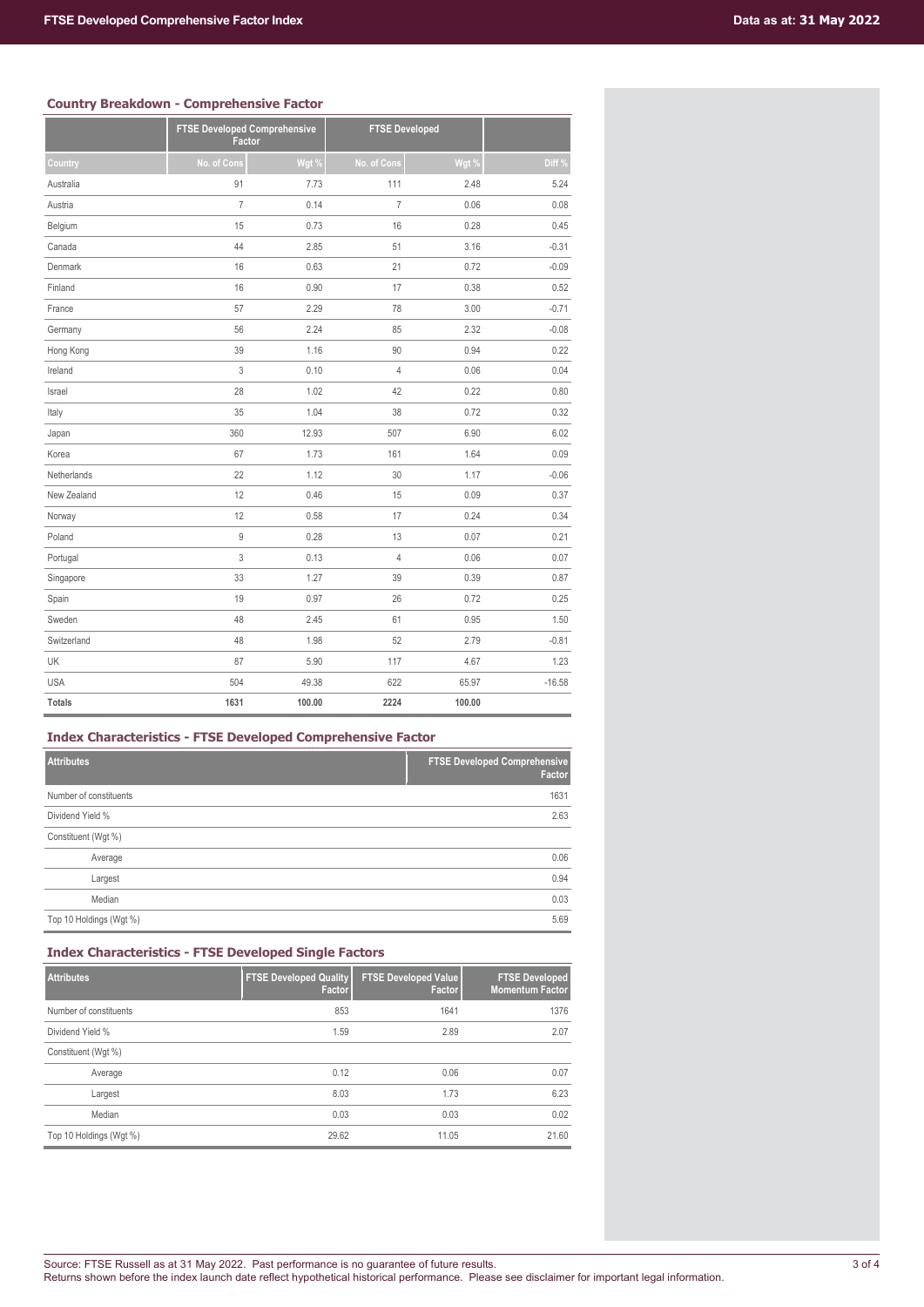|               | <b>FTSE Developed Comprehensive</b><br>Factor |        | <b>FTSE Developed</b> |        |          |
|---------------|-----------------------------------------------|--------|-----------------------|--------|----------|
| Country       | No. of Cons                                   | Wgt %  | No. of Cons           | Wgt %  | Diff %   |
| Australia     | 91                                            | 7.73   | 111                   | 2.48   | 5.24     |
| Austria       | $\overline{I}$                                | 0.14   | $\overline{7}$        | 0.06   | 0.08     |
| Belgium       | 15                                            | 0.73   | 16                    | 0.28   | 0.45     |
| Canada        | 44                                            | 2.85   | 51                    | 3.16   | $-0.31$  |
| Denmark       | 16                                            | 0.63   | 21                    | 0.72   | $-0.09$  |
| Finland       | 16                                            | 0.90   | 17                    | 0.38   | 0.52     |
| France        | 57                                            | 2.29   | 78                    | 3.00   | $-0.71$  |
| Germany       | 56                                            | 2.24   | 85                    | 2.32   | $-0.08$  |
| Hong Kong     | 39                                            | 1.16   | 90                    | 0.94   | 0.22     |
| Ireland       | 3                                             | 0.10   | $\overline{4}$        | 0.06   | 0.04     |
| Israel        | 28                                            | 1.02   | 42                    | 0.22   | 0.80     |
| Italy         | 35                                            | 1.04   | 38                    | 0.72   | 0.32     |
| Japan         | 360                                           | 12.93  | 507                   | 6.90   | 6.02     |
| Korea         | 67                                            | 1.73   | 161                   | 1.64   | 0.09     |
| Netherlands   | 22                                            | 1.12   | 30                    | 1.17   | $-0.06$  |
| New Zealand   | 12                                            | 0.46   | 15                    | 0.09   | 0.37     |
| Norway        | 12                                            | 0.58   | 17                    | 0.24   | 0.34     |
| Poland        | 9                                             | 0.28   | 13                    | 0.07   | 0.21     |
| Portugal      | 3                                             | 0.13   | $\overline{4}$        | 0.06   | 0.07     |
| Singapore     | 33                                            | 1.27   | 39                    | 0.39   | 0.87     |
| Spain         | 19                                            | 0.97   | 26                    | 0.72   | 0.25     |
| Sweden        | 48                                            | 2.45   | 61                    | 0.95   | 1.50     |
| Switzerland   | 48                                            | 1.98   | 52                    | 2.79   | $-0.81$  |
| UK            | 87                                            | 5.90   | 117                   | 4.67   | 1.23     |
| <b>USA</b>    | 504                                           | 49.38  | 622                   | 65.97  | $-16.58$ |
| <b>Totals</b> | 1631                                          | 100.00 | 2224                  | 100.00 |          |

# **Index Characteristics - FTSE Developed Comprehensive Factor**

| <b>Attributes</b>       | <b>FTSE Developed Comprehensive</b><br>Factor |
|-------------------------|-----------------------------------------------|
| Number of constituents  | 1631                                          |
| Dividend Yield %        | 2.63                                          |
| Constituent (Wgt %)     |                                               |
| Average                 | 0.06                                          |
| Largest                 | 0.94                                          |
| Median                  | 0.03                                          |
| Top 10 Holdings (Wgt %) | 5.69                                          |

# **Index Characteristics - FTSE Developed Single Factors**

| <b>Attributes</b>       | <b>FTSE Developed Quality</b><br>Factor | <b>FTSE Developed Value</b><br>Factor | <b>FTSE Developed</b><br><b>Momentum Factor</b> |
|-------------------------|-----------------------------------------|---------------------------------------|-------------------------------------------------|
| Number of constituents  | 853                                     | 1641                                  | 1376                                            |
| Dividend Yield %        | 1.59                                    | 2.89                                  | 2.07                                            |
| Constituent (Wgt %)     |                                         |                                       |                                                 |
| Average                 | 0.12                                    | 0.06                                  | 0.07                                            |
| Largest                 | 8.03                                    | 1.73                                  | 6.23                                            |
| Median                  | 0.03                                    | 0.03                                  | 0.02                                            |
| Top 10 Holdings (Wgt %) | 29.62                                   | 11.05                                 | 21.60                                           |